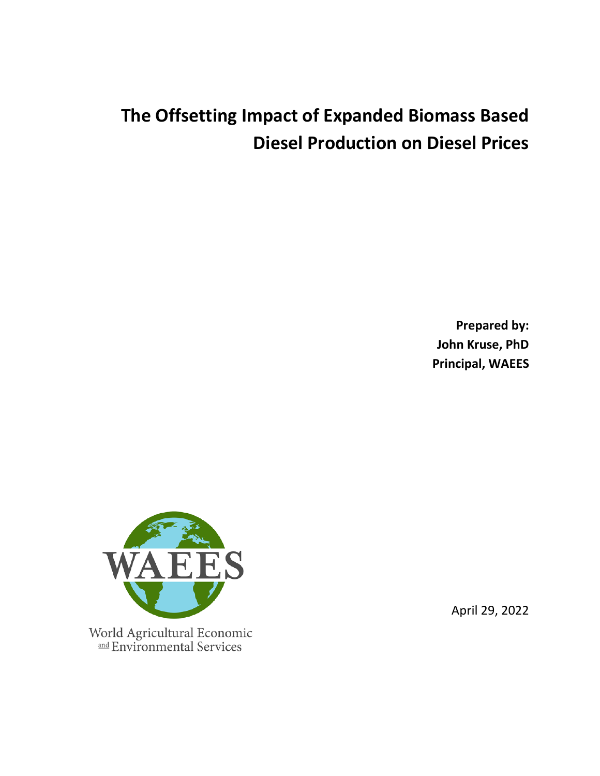# **The Offsetting Impact of Expanded Biomass Based Diesel Production on Diesel Prices**

**Prepared by: John Kruse, PhD Principal, WAEES**



April 29, 2022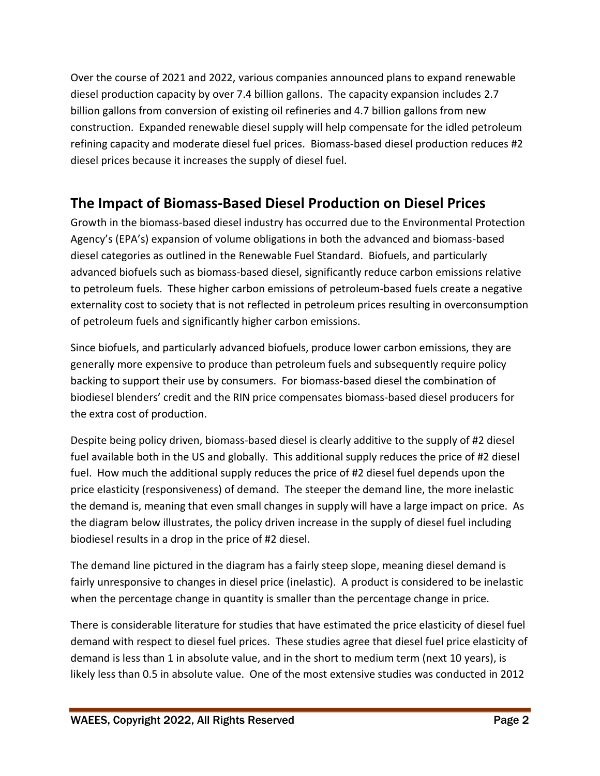Over the course of 2021 and 2022, various companies announced plans to expand renewable diesel production capacity by over 7.4 billion gallons. The capacity expansion includes 2.7 billion gallons from conversion of existing oil refineries and 4.7 billion gallons from new construction. Expanded renewable diesel supply will help compensate for the idled petroleum refining capacity and moderate diesel fuel prices. Biomass-based diesel production reduces #2 diesel prices because it increases the supply of diesel fuel.

## **The Impact of Biomass-Based Diesel Production on Diesel Prices**

Growth in the biomass-based diesel industry has occurred due to the Environmental Protection Agency's (EPA's) expansion of volume obligations in both the advanced and biomass-based diesel categories as outlined in the Renewable Fuel Standard. Biofuels, and particularly advanced biofuels such as biomass-based diesel, significantly reduce carbon emissions relative to petroleum fuels. These higher carbon emissions of petroleum-based fuels create a negative externality cost to society that is not reflected in petroleum prices resulting in overconsumption of petroleum fuels and significantly higher carbon emissions.

Since biofuels, and particularly advanced biofuels, produce lower carbon emissions, they are generally more expensive to produce than petroleum fuels and subsequently require policy backing to support their use by consumers. For biomass-based diesel the combination of biodiesel blenders' credit and the RIN price compensates biomass-based diesel producers for the extra cost of production.

Despite being policy driven, biomass-based diesel is clearly additive to the supply of #2 diesel fuel available both in the US and globally. This additional supply reduces the price of #2 diesel fuel. How much the additional supply reduces the price of #2 diesel fuel depends upon the price elasticity (responsiveness) of demand. The steeper the demand line, the more inelastic the demand is, meaning that even small changes in supply will have a large impact on price. As the diagram below illustrates, the policy driven increase in the supply of diesel fuel including biodiesel results in a drop in the price of #2 diesel.

The demand line pictured in the diagram has a fairly steep slope, meaning diesel demand is fairly unresponsive to changes in diesel price (inelastic). A product is considered to be inelastic when the percentage change in quantity is smaller than the percentage change in price.

There is considerable literature for studies that have estimated the price elasticity of diesel fuel demand with respect to diesel fuel prices. These studies agree that diesel fuel price elasticity of demand is less than 1 in absolute value, and in the short to medium term (next 10 years), is likely less than 0.5 in absolute value. One of the most extensive studies was conducted in 2012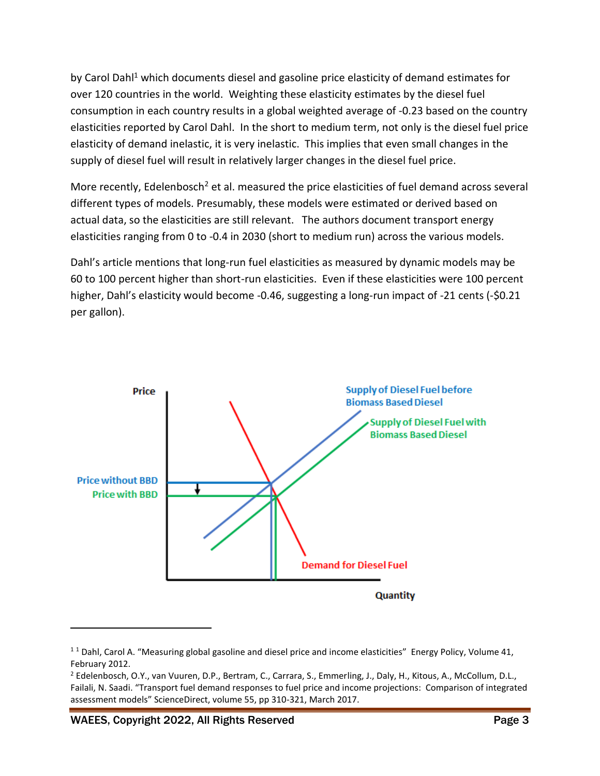by Carol Dahl<sup>1</sup> which documents diesel and gasoline price elasticity of demand estimates for over 120 countries in the world. Weighting these elasticity estimates by the diesel fuel consumption in each country results in a global weighted average of -0.23 based on the country elasticities reported by Carol Dahl. In the short to medium term, not only is the diesel fuel price elasticity of demand inelastic, it is very inelastic. This implies that even small changes in the supply of diesel fuel will result in relatively larger changes in the diesel fuel price.

More recently, Edelenbosch<sup>2</sup> et al. measured the price elasticities of fuel demand across several different types of models. Presumably, these models were estimated or derived based on actual data, so the elasticities are still relevant. The authors document transport energy elasticities ranging from 0 to -0.4 in 2030 (short to medium run) across the various models.

Dahl's article mentions that long-run fuel elasticities as measured by dynamic models may be 60 to 100 percent higher than short-run elasticities. Even if these elasticities were 100 percent higher, Dahl's elasticity would become -0.46, suggesting a long-run impact of -21 cents (-\$0.21 per gallon).



 $11$  Dahl, Carol A. "Measuring global gasoline and diesel price and income elasticities" Energy Policy, Volume 41, February 2012.

WAEES, Copyright 2022, All Rights Reserved **Page 3** Page 3

<sup>&</sup>lt;sup>2</sup> Edelenbosch, O.Y., van Vuuren, D.P., Bertram, C., Carrara, S., Emmerling, J., Daly, H., Kitous, A., McCollum, D.L., Failali, N. Saadi. "Transport fuel demand responses to fuel price and income projections: Comparison of integrated assessment models" ScienceDirect, volume 55, pp 310-321, March 2017.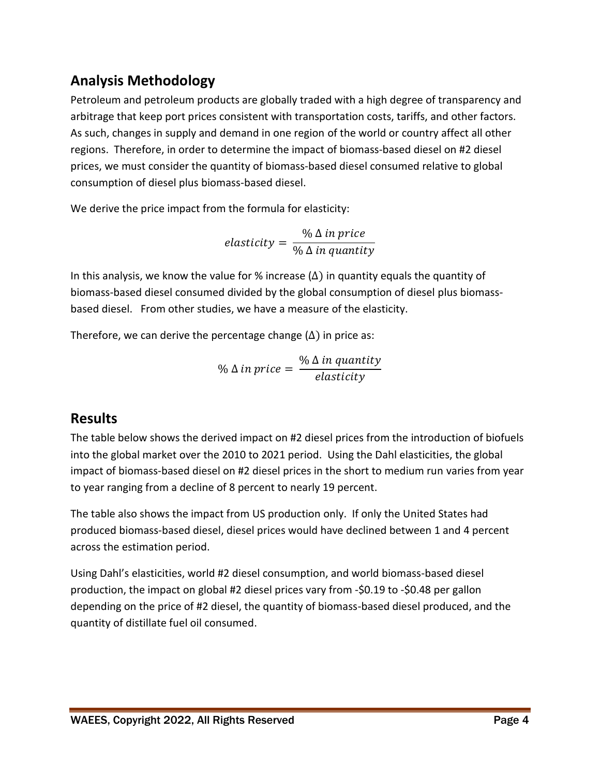### **Analysis Methodology**

Petroleum and petroleum products are globally traded with a high degree of transparency and arbitrage that keep port prices consistent with transportation costs, tariffs, and other factors. As such, changes in supply and demand in one region of the world or country affect all other regions. Therefore, in order to determine the impact of biomass-based diesel on #2 diesel prices, we must consider the quantity of biomass-based diesel consumed relative to global consumption of diesel plus biomass-based diesel.

We derive the price impact from the formula for elasticity:

elasticity = % ∆ in price % ∆ in quantity

In this analysis, we know the value for % increase  $(\Delta)$  in quantity equals the quantity of biomass-based diesel consumed divided by the global consumption of diesel plus biomassbased diesel. From other studies, we have a measure of the elasticity.

Therefore, we can derive the percentage change  $(\Delta)$  in price as:

 $\%$   $\Delta$  in price  $=$ % ∆ in quantity elasticity

#### **Results**

The table below shows the derived impact on #2 diesel prices from the introduction of biofuels into the global market over the 2010 to 2021 period. Using the Dahl elasticities, the global impact of biomass-based diesel on #2 diesel prices in the short to medium run varies from year to year ranging from a decline of 8 percent to nearly 19 percent.

The table also shows the impact from US production only. If only the United States had produced biomass-based diesel, diesel prices would have declined between 1 and 4 percent across the estimation period.

Using Dahl's elasticities, world #2 diesel consumption, and world biomass-based diesel production, the impact on global #2 diesel prices vary from -\$0.19 to -\$0.48 per gallon depending on the price of #2 diesel, the quantity of biomass-based diesel produced, and the quantity of distillate fuel oil consumed.